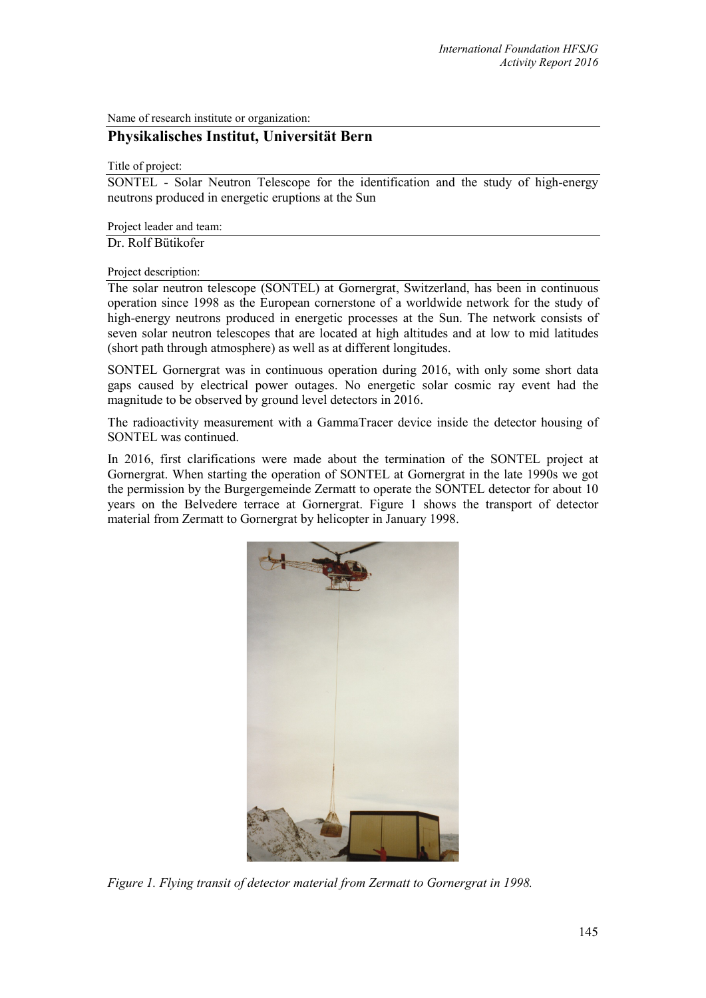Name of research institute or organization:

## **Physikalisches Institut, Universität Bern**

## Title of project:

SONTEL - Solar Neutron Telescope for the identification and the study of high-energy neutrons produced in energetic eruptions at the Sun

Project leader and team:

Dr. Rolf Bütikofer

Project description:

The solar neutron telescope (SONTEL) at Gornergrat, Switzerland, has been in continuous operation since 1998 as the European cornerstone of a worldwide network for the study of high-energy neutrons produced in energetic processes at the Sun. The network consists of seven solar neutron telescopes that are located at high altitudes and at low to mid latitudes (short path through atmosphere) as well as at different longitudes.

SONTEL Gornergrat was in continuous operation during 2016, with only some short data gaps caused by electrical power outages. No energetic solar cosmic ray event had the magnitude to be observed by ground level detectors in 2016.

The radioactivity measurement with a GammaTracer device inside the detector housing of SONTEL was continued.

In 2016, first clarifications were made about the termination of the SONTEL project at Gornergrat. When starting the operation of SONTEL at Gornergrat in the late 1990s we got the permission by the Burgergemeinde Zermatt to operate the SONTEL detector for about 10 years on the Belvedere terrace at Gornergrat. Figure 1 shows the transport of detector material from Zermatt to Gornergrat by helicopter in January 1998.



*Figure 1. Flying transit of detector material from Zermatt to Gornergrat in 1998.*